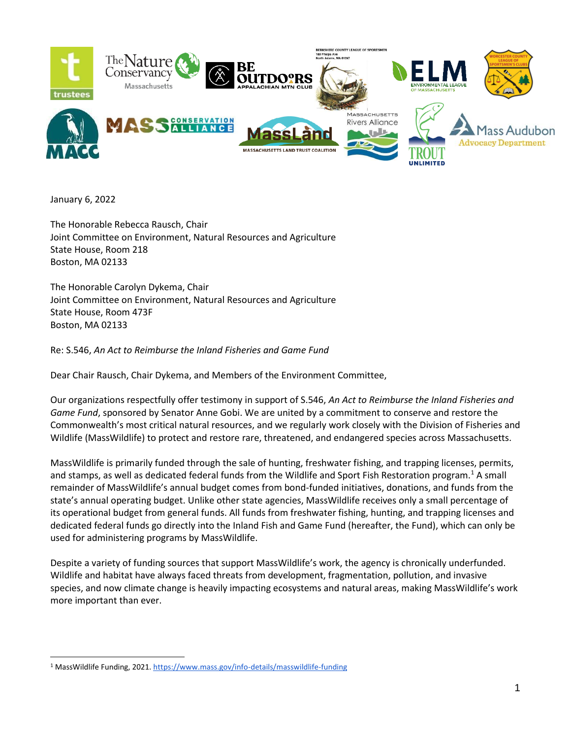

January 6, 2022

The Honorable Rebecca Rausch, Chair Joint Committee on Environment, Natural Resources and Agriculture State House, Room 218 Boston, MA 02133

The Honorable Carolyn Dykema, Chair Joint Committee on Environment, Natural Resources and Agriculture State House, Room 473F Boston, MA 02133

Re: S.546, *An Act to Reimburse the Inland Fisheries and Game Fund* 

Dear Chair Rausch, Chair Dykema, and Members of the Environment Committee,

Our organizations respectfully offer testimony in support of S.546, *An Act to Reimburse the Inland Fisheries and Game Fund*, sponsored by Senator Anne Gobi. We are united by a commitment to conserve and restore the Commonwealth's most critical natural resources, and we regularly work closely with the Division of Fisheries and Wildlife (MassWildlife) to protect and restore rare, threatened, and endangered species across Massachusetts.

MassWildlife is primarily funded through the sale of hunting, freshwater fishing, and trapping licenses, permits, and stamps, as well as dedicated federal funds from the Wildlife and Sport Fish Restoration program.<sup>1</sup> A small remainder of MassWildlife's annual budget comes from bond-funded initiatives, donations, and funds from the state's annual operating budget. Unlike other state agencies, MassWildlife receives only a small percentage of its operational budget from general funds. All funds from freshwater fishing, hunting, and trapping licenses and dedicated federal funds go directly into the Inland Fish and Game Fund (hereafter, the Fund), which can only be used for administering programs by MassWildlife.

Despite a variety of funding sources that support MassWildlife's work, the agency is chronically underfunded. Wildlife and habitat have always faced threats from development, fragmentation, pollution, and invasive species, and now climate change is heavily impacting ecosystems and natural areas, making MassWildlife's work more important than ever.

<sup>1</sup> MassWildlife Funding, 2021[. https://www.mass.gov/info-details/masswildlife-funding](https://www.mass.gov/info-details/masswildlife-funding)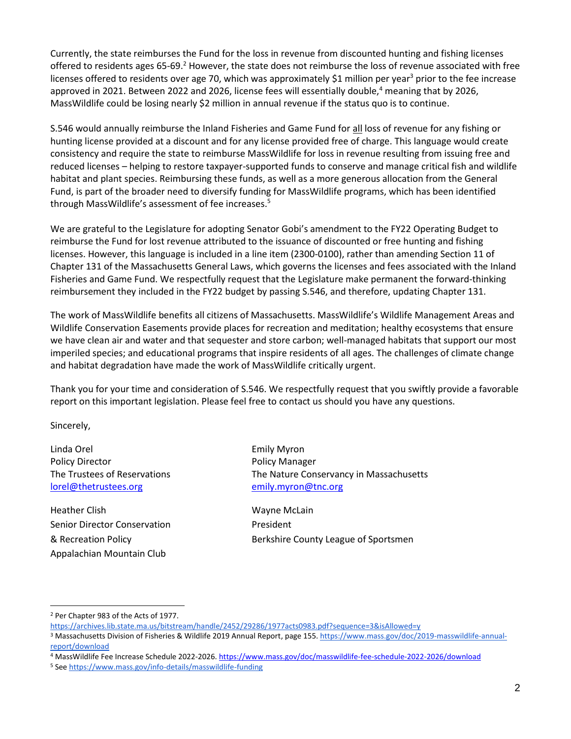Currently, the state reimburses the Fund for the loss in revenue from discounted hunting and fishing licenses offered to residents ages 65-69.<sup>2</sup> However, the state does not reimburse the loss of revenue associated with free licenses offered to residents over age 70, which was approximately \$1 million per year<sup>3</sup> prior to the fee increase approved in 2021. Between 2022 and 2026, license fees will essentially double,<sup>4</sup> meaning that by 2026, MassWildlife could be losing nearly \$2 million in annual revenue if the status quo is to continue.

S.546 would annually reimburse the Inland Fisheries and Game Fund for all loss of revenue for any fishing or hunting license provided at a discount and for any license provided free of charge. This language would create consistency and require the state to reimburse MassWildlife for loss in revenue resulting from issuing free and reduced licenses – helping to restore taxpayer-supported funds to conserve and manage critical fish and wildlife habitat and plant species. Reimbursing these funds, as well as a more generous allocation from the General Fund, is part of the broader need to diversify funding for MassWildlife programs, which has been identified through MassWildlife's assessment of fee increases.<sup>5</sup>

We are grateful to the Legislature for adopting Senator Gobi's amendment to the FY22 Operating Budget to reimburse the Fund for lost revenue attributed to the issuance of discounted or free hunting and fishing licenses. However, this language is included in a line item (2300-0100), rather than amending Section 11 of Chapter 131 of the Massachusetts General Laws, which governs the licenses and fees associated with the Inland Fisheries and Game Fund. We respectfully request that the Legislature make permanent the forward-thinking reimbursement they included in the FY22 budget by passing S.546, and therefore, updating Chapter 131.

The work of MassWildlife benefits all citizens of Massachusetts. MassWildlife's Wildlife Management Areas and Wildlife Conservation Easements provide places for recreation and meditation; healthy ecosystems that ensure we have clean air and water and that sequester and store carbon; well-managed habitats that support our most imperiled species; and educational programs that inspire residents of all ages. The challenges of climate change and habitat degradation have made the work of MassWildlife critically urgent.

Thank you for your time and consideration of S.546. We respectfully request that you swiftly provide a favorable report on this important legislation. Please feel free to contact us should you have any questions.

Sincerely,

Linda Orel Emily Myron Policy Director **Policy Manager** [lorel@thetrustees.org](mailto:lorel@thetrustees.org) [emily.myron@tnc.org](mailto:emily.myron@tnc.org)

Heather Clish Wayne McLain Senior Director Conservation **President** Appalachian Mountain Club

The Trustees of Reservations The Nature Conservancy in Massachusetts

& Recreation Policy Berkshire County League of Sportsmen

<sup>2</sup> Per Chapter 983 of the Acts of 1977.

<https://archives.lib.state.ma.us/bitstream/handle/2452/29286/1977acts0983.pdf?sequence=3&isAllowed=y>

<sup>3</sup> Massachusetts Division of Fisheries & Wildlife 2019 Annual Report, page 155[. https://www.mass.gov/doc/2019-masswildlife-annual](https://www.mass.gov/doc/2019-masswildlife-annual-report/download)[report/download](https://www.mass.gov/doc/2019-masswildlife-annual-report/download)

<sup>4</sup> MassWildlife Fee Increase Schedule 2022-2026.<https://www.mass.gov/doc/masswildlife-fee-schedule-2022-2026/download>

<sup>5</sup> Se[e https://www.mass.gov/info-details/masswildlife-funding](https://www.mass.gov/info-details/masswildlife-funding)